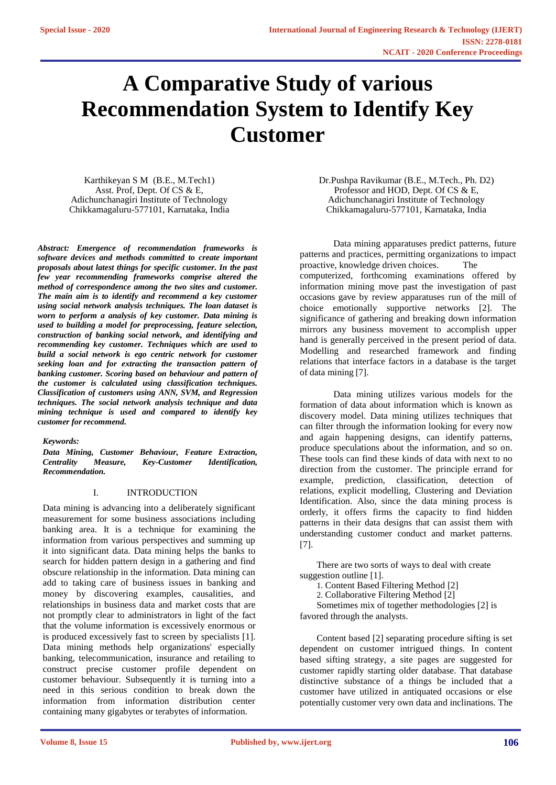# **A Comparative Study of various Recommendation System to Identify Key Customer**

Karthikeyan S M (B.E., M.Tech1) Asst. Prof, Dept. Of CS & E, Adichunchanagiri Institute of Technology Chikkamagaluru-577101, Karnataka, India

*Abstract: Emergence of recommendation frameworks is software devices and methods committed to create important proposals about latest things for specific customer. In the past few year recommending frameworks comprise altered the method of correspondence among the two sites and customer. The main aim is to identify and recommend a key customer using social network analysis techniques. The loan dataset is worn to perform a analysis of key customer. Data mining is used to building a model for preprocessing, feature selection, construction of banking social network, and identifying and recommending key customer. Techniques which are used to build a social network is ego centric network for customer seeking loan and for extracting the transaction pattern of banking customer. Scoring based on behaviour and pattern of the customer is calculated using classification techniques. Classification of customers using ANN, SVM, and Regression techniques. The social network analysis technique and data mining technique is used and compared to identify key customer for recommend.*

#### *Keywords:*

*Data Mining, Customer Behaviour, Feature Extraction, Centrality Measure, Key-Customer Identification, Recommendation.*

## I. INTRODUCTION

Data mining is advancing into a deliberately significant measurement for some business associations including banking area. It is a technique for examining the information from various perspectives and summing up it into significant data. Data mining helps the banks to search for hidden pattern design in a gathering and find obscure relationship in the information. Data mining can add to taking care of business issues in banking and money by discovering examples, causalities, and relationships in business data and market costs that are not promptly clear to administrators in light of the fact that the volume information is excessively enormous or is produced excessively fast to screen by specialists [1]. Data mining methods help organizations' especially banking, telecommunication, insurance and retailing to construct precise customer profile dependent on customer behaviour. Subsequently it is turning into a need in this serious condition to break down the information from information distribution center containing many gigabytes or terabytes of information.

Dr.Pushpa Ravikumar (B.E., M.Tech., Ph. D2) Professor and HOD, Dept. Of CS & E, Adichunchanagiri Institute of Technology Chikkamagaluru-577101, Karnataka, India

Data mining apparatuses predict patterns, future patterns and practices, permitting organizations to impact proactive, knowledge driven choices. The computerized, forthcoming examinations offered by information mining move past the investigation of past occasions gave by review apparatuses run of the mill of choice emotionally supportive networks [2]. The significance of gathering and breaking down information mirrors any business movement to accomplish upper hand is generally perceived in the present period of data. Modelling and researched framework and finding relations that interface factors in a database is the target of data mining [7].

Data mining utilizes various models for the formation of data about information which is known as discovery model. Data mining utilizes techniques that can filter through the information looking for every now and again happening designs, can identify patterns, produce speculations about the information, and so on. These tools can find these kinds of data with next to no direction from the customer. The principle errand for example, prediction, classification, detection of relations, explicit modelling, Clustering and Deviation Identification. Also, since the data mining process is orderly, it offers firms the capacity to find hidden patterns in their data designs that can assist them with understanding customer conduct and market patterns. [7].

There are two sorts of ways to deal with create suggestion outline [1].

1. Content Based Filtering Method [2]

2. Collaborative Filtering Method [2]

Sometimes mix of together methodologies [2] is favored through the analysts.

Content based [2] separating procedure sifting is set dependent on customer intrigued things. In content based sifting strategy, a site pages are suggested for customer rapidly starting older database. That database distinctive substance of a things be included that a customer have utilized in antiquated occasions or else potentially customer very own data and inclinations. The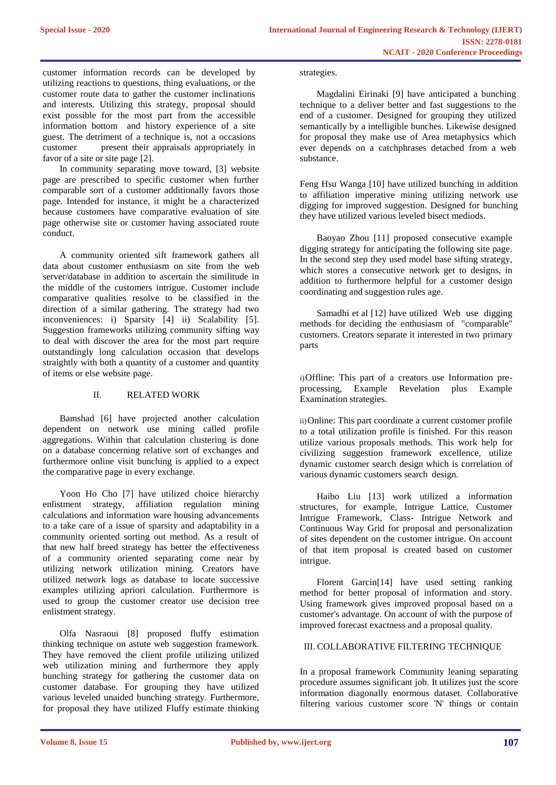customer information records can be developed by utilizing reactions to questions, thing evaluations, or the customer route data to gather the customer inclinations and interests. Utilizing this strategy, proposal should exist possible for the most part from the accessible information bottom and history experience of a site guest. The detriment of a technique is, not a occasions customer present their appraisals appropriately in favor of a site or site page [2].

In community separating move toward, [3] website page are prescribed to specific customer when further comparable sort of a customer additionally favors those page. Intended for instance, it might be a characterized because customers have comparative evaluation of site page otherwise site or customer having associated route conduct.

A community oriented sift framework gathers all data about customer enthusiasm on site from the web server/database in addition to ascertain the similitude in the middle of the customers intrigue. Customer include comparative qualities resolve to be classified in the direction of a similar gathering. The strategy had two inconveniences: i) Sparsity [4] ii) Scalability [5]. Suggestion frameworks utilizing community sifting way to deal with discover the area for the most part require outstandingly long calculation occasion that develops straightly with both a quantity of a customer and quantity of items or else website page.

# II. RELATED WORK

Bamshad [6] have projected another calculation dependent on network use mining called profile aggregations. Within that calculation clustering is done on a database concerning relative sort of exchanges and furthermore online visit bunching is applied to a expect the comparative page in every exchange.

Yoon Ho Cho [7] have utilized choice hierarchy enlistment strategy, affiliation regulation mining calculations and information ware housing advancements to a take care of a issue of sparsity and adaptability in a community oriented sorting out method. As a result of that new half breed strategy has better the effectiveness of a community oriented separating come near by utilizing network utilization mining. Creators have utilized network logs as database to locate successive examples utilizing apriori calculation. Furthermore is used to group the customer creator use decision tree enlistment strategy.

Olfa Nasraoui [8] proposed fluffy estimation thinking technique on astute web suggestion framework. They have removed the client profile utilizing utilized web utilization mining and furthermore they apply bunching strategy for gathering the customer data on customer database. For grouping they have utilized various leveled unaided bunching strategy. Furthermore, for proposal they have utilized Fluffy estimate thinking

#### strategies.

Magdalini Eirinaki [9] have anticipated a bunching technique to a deliver better and fast suggestions to the end of a customer. Designed for grouping they utilized semantically by a intelligible bunches. Likewise designed for proposal they make use of Area metaphysics which ever depends on a catchphrases detached from a web substance.

Feng Hsu Wanga [10] have utilized bunching in addition to affiliation imperative mining utilizing network use digging for improved suggestion. Designed for bunching they have utilized various leveled bisect mediods.

Baoyao Zhou [11] proposed consecutive example digging strategy for anticipating the following site page. In the second step they used model base sifting strategy, which stores a consecutive network get to designs, in addition to furthermore helpful for a customer design coordinating and suggestion rules age.

Samadhi et al [12] have utilized Web use digging methods for deciding the enthusiasm of "comparable" customers. Creators separate it interested in two primary parts

i)Offline: This part of a creators use Information preprocessing, Example Revelation plus Example Examination strategies.

ii)Online: This part coordinate a current customer profile to a total utilization profile is finished. For this reason utilize various proposals methods. This work help for civilizing suggestion framework excellence, utilize dynamic customer search design which is correlation of various dynamic customers search design.

Haibo Liu [13] work utilized a information structures, for example, Intrigue Lattice, Customer Intrigue Framework, Class- Intrigue Network and Continuous Way Grid for proposal and personalization of sites dependent on the customer intrigue. On account of that item proposal is created based on customer intrigue.

Florent Garcin[14] have used setting ranking method for better proposal of information and story. Using framework gives improved proposal based on a customer's advantage. On account of with the purpose of improved forecast exactness and a proposal quality.

# III. COLLABORATIVE FILTERING TECHNIQUE

In a proposal framework Community leaning separating procedure assumes significant job. It utilizes just the score information diagonally enormous dataset. Collaborative filtering various customer score 'N' things or contain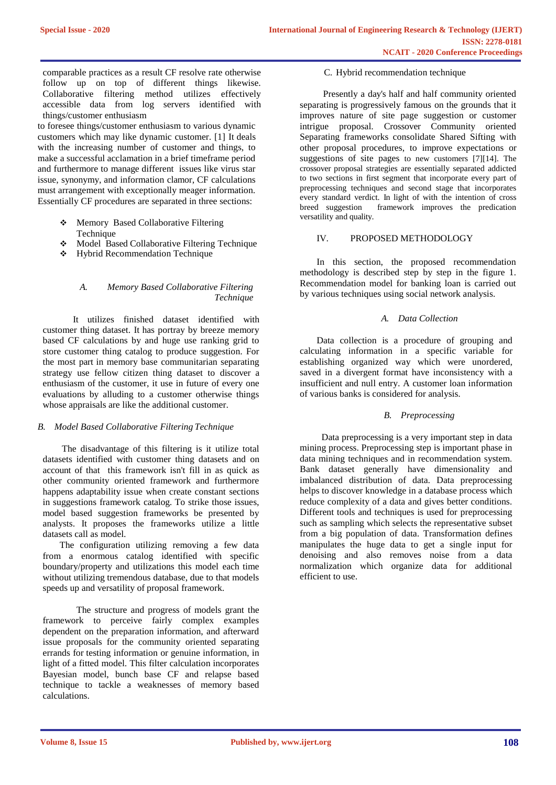comparable practices as a result CF resolve rate otherwise follow up on top of different things likewise. Collaborative filtering method utilizes effectively accessible data from log servers identified with things/customer enthusiasm

to foresee things/customer enthusiasm to various dynamic customers which may like dynamic customer. [1] It deals with the increasing number of customer and things, to make a successful acclamation in a brief timeframe period and furthermore to manage different issues like virus star issue, synonymy, and information clamor, CF calculations must arrangement with exceptionally meager information. Essentially CF procedures are separated in three sections:

- Memory Based Collaborative Filtering Technique
- Model Based Collaborative Filtering Technique
- Hybrid Recommendation Technique

## *A. Memory Based Collaborative Filtering Technique*

It utilizes finished dataset identified with customer thing dataset. It has portray by breeze memory based CF calculations by and huge use ranking grid to store customer thing catalog to produce suggestion. For the most part in memory base communitarian separating strategy use fellow citizen thing dataset to discover a enthusiasm of the customer, it use in future of every one evaluations by alluding to a customer otherwise things whose appraisals are like the additional customer.

# *B. Model Based Collaborative Filtering Technique*

The disadvantage of this filtering is it utilize total datasets identified with customer thing datasets and on account of that this framework isn't fill in as quick as other community oriented framework and furthermore happens adaptability issue when create constant sections in suggestions framework catalog. To strike those issues, model based suggestion frameworks be presented by analysts. It proposes the frameworks utilize a little datasets call as model.

The configuration utilizing removing a few data from a enormous catalog identified with specific boundary/property and utilizations this model each time without utilizing tremendous database, due to that models speeds up and versatility of proposal framework.

The structure and progress of models grant the framework to perceive fairly complex examples dependent on the preparation information, and afterward issue proposals for the community oriented separating errands for testing information or genuine information, in light of a fitted model. This filter calculation incorporates Bayesian model, bunch base CF and relapse based technique to tackle a weaknesses of memory based calculations.

#### C. Hybrid recommendation technique

Presently a day's half and half community oriented separating is progressively famous on the grounds that it improves nature of site page suggestion or customer intrigue proposal. Crossover Community oriented Separating frameworks consolidate Shared Sifting with other proposal procedures, to improve expectations or suggestions of site pages to new customers [7][14]. The crossover proposal strategies are essentially separated addicted to two sections in first segment that incorporate every part of preprocessing techniques and second stage that incorporates every standard verdict. In light of with the intention of cross breed suggestion framework improves the predication versatility and quality.

## IV. PROPOSED METHODOLOGY

In this section, the proposed recommendation methodology is described step by step in the figure 1. Recommendation model for banking loan is carried out by various techniques using social network analysis.

## *A. Data Collection*

Data collection is a procedure of grouping and calculating information in a specific variable for establishing organized way which were unordered, saved in a divergent format have inconsistency with a insufficient and null entry. A customer loan information of various banks is considered for analysis.

## *B. Preprocessing*

Data preprocessing is a very important step in data mining process. Preprocessing step is important phase in data mining techniques and in recommendation system. Bank dataset generally have dimensionality and imbalanced distribution of data. Data preprocessing helps to discover knowledge in a database process which reduce complexity of a data and gives better conditions. Different tools and techniques is used for preprocessing such as sampling which selects the representative subset from a big population of data. Transformation defines manipulates the huge data to get a single input for denoising and also removes noise from a data normalization which organize data for additional efficient to use.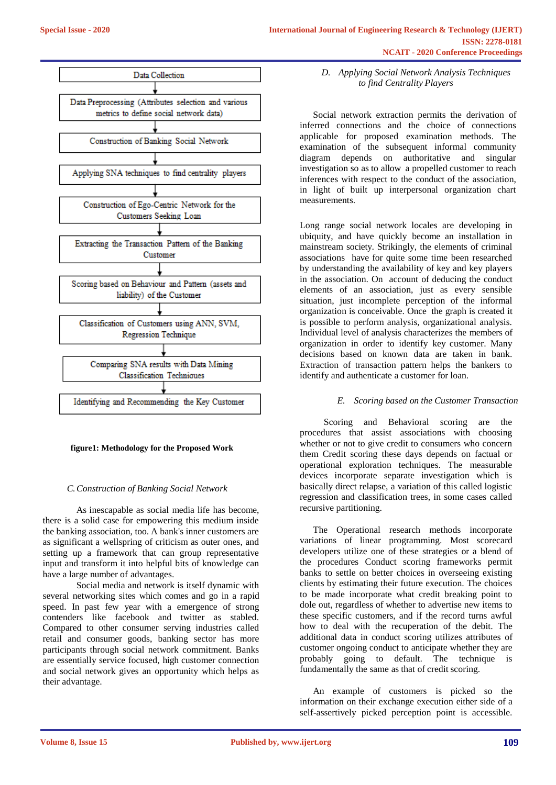

## **figure1: Methodology for the Proposed Work**

# *C.Construction of Banking Social Network*

As inescapable as social media life has become, there is a solid case for empowering this medium inside the banking association, too. A bank's inner customers are as significant a wellspring of criticism as outer ones, and setting up a framework that can group representative input and transform it into helpful bits of knowledge can have a large number of advantages.

Social media and network is itself dynamic with several networking sites which comes and go in a rapid speed. In past few year with a emergence of strong contenders like facebook and twitter as stabled. Compared to other consumer serving industries called retail and consumer goods, banking sector has more participants through social network commitment. Banks are essentially service focused, high customer connection and social network gives an opportunity which helps as their advantage.

*D. Applying Social Network Analysis Techniques to find Centrality Players*

Social network extraction permits the derivation of inferred connections and the choice of connections applicable for proposed examination methods. The examination of the subsequent informal community diagram depends on authoritative and singular investigation so as to allow a propelled customer to reach inferences with respect to the conduct of the association, in light of built up interpersonal organization chart measurements.

Long range social network locales are developing in ubiquity, and have quickly become an installation in mainstream society. Strikingly, the elements of criminal associations have for quite some time been researched by understanding the availability of key and key players in the association. On account of deducing the conduct elements of an association, just as every sensible situation, just incomplete perception of the informal organization is conceivable. Once the graph is created it is possible to perform analysis, organizational analysis. Individual level of analysis characterizes the members of organization in order to identify key customer. Many decisions based on known data are taken in bank. Extraction of transaction pattern helps the bankers to identify and authenticate a customer for loan.

# *E. Scoring based on the Customer Transaction*

Scoring and Behavioral scoring are the procedures that assist associations with choosing whether or not to give credit to consumers who concern them Credit scoring these days depends on factual or operational exploration techniques. The measurable devices incorporate separate investigation which is basically direct relapse, a variation of this called logistic regression and classification trees, in some cases called recursive partitioning.

The Operational research methods incorporate variations of linear programming. Most scorecard developers utilize one of these strategies or a blend of the procedures Conduct scoring frameworks permit banks to settle on better choices in overseeing existing clients by estimating their future execution. The choices to be made incorporate what credit breaking point to dole out, regardless of whether to advertise new items to these specific customers, and if the record turns awful how to deal with the recuperation of the debit. The additional data in conduct scoring utilizes attributes of customer ongoing conduct to anticipate whether they are probably going to default. The technique is fundamentally the same as that of credit scoring.

An example of customers is picked so the information on their exchange execution either side of a self-assertively picked perception point is accessible.